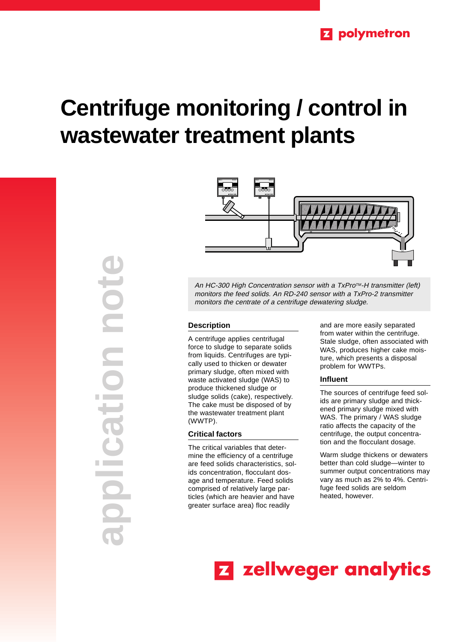# **Centrifuge monitoring / control in wastewater treatment plants**

**application note DICITY** Cio **Contract Contract** 



An HC-300 High Concentration sensor with a TxPro™-H transmitter (left) monitors the feed solids. An RD-240 sensor with a TxPro-2 transmitter monitors the centrate of a centrifuge dewatering sludge.

## **Description**

A centrifuge applies centrifugal force to sludge to separate solids from liquids. Centrifuges are typically used to thicken or dewater primary sludge, often mixed with waste activated sludge (WAS) to produce thickened sludge or sludge solids (cake), respectively. The cake must be disposed of by the wastewater treatment plant (WWTP).

## **Critical factors**

The critical variables that determine the efficiency of a centrifuge are feed solids characteristics, solids concentration, flocculant dosage and temperature. Feed solids comprised of relatively large particles (which are heavier and have greater surface area) floc readily

and are more easily separated from water within the centrifuge. Stale sludge, often associated with WAS, produces higher cake moisture, which presents a disposal problem for WWTPs.

### **Influent**

The sources of centrifuge feed solids are primary sludge and thickened primary sludge mixed with WAS. The primary / WAS sludge ratio affects the capacity of the centrifuge, the output concentration and the flocculant dosage.

Warm sludge thickens or dewaters better than cold sludge—winter to summer output concentrations may vary as much as 2% to 4%. Centrifuge feed solids are seldom heated, however.